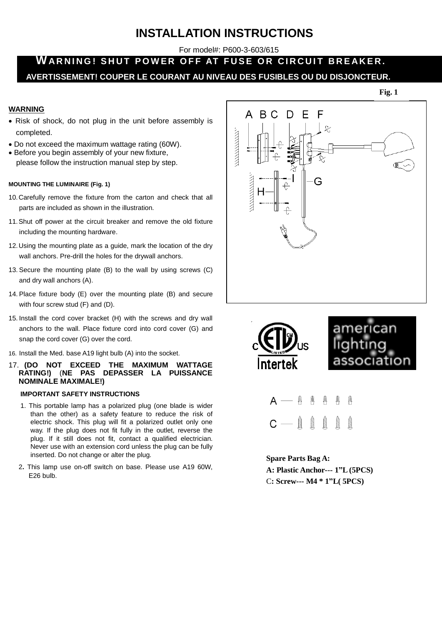# **INSTALLATION INSTRUCTIONS**

For model#: P600-3-603/615

## WARNING! SHUT POWER OFF AT FUSE OR CIRCUIT BREAKER. **AVERTISSEMENT! COUPER LE COURANT AU NIVEAU DES FUSIBLES OU DU DISJONCTEUR.**

#### **Fig. 1**

## **WARNING**

- Risk of shock, do not plug in the unit before assembly is completed.
- Do not exceed the maximum wattage rating (60W).
- Before you begin assembly of your new fixture, please follow the instruction manual step by step.

## **MOUNTING THE LUMINAIRE (Fig. 1)**

- 10.Carefully remove the fixture from the carton and check that all parts are included as shown in the illustration.
- 11.Shut off power at the circuit breaker and remove the old fixture including the mounting hardware.
- 12.Using the mounting plate as a guide, mark the location of the dry wall anchors. Pre-drill the holes for the drywall anchors.
- 13. Secure the mounting plate (B) to the wall by using screws (C) and dry wall anchors (A).
- 14. Place fixture body (E) over the mounting plate (B) and secure with four screw stud (F) and (D).
- 15. Install the cord cover bracket (H) with the screws and dry wall anchors to the wall. Place fixture cord into cord cover (G) and snap the cord cover (G) over the cord.
- 16. Install the Med. base A19 light bulb (A) into the socket.
- 17. **(DO NOT EXCEED THE MAXIMUM WATTAGE RATING!)** (**NE PAS DEPASSER LA PUISSANCE NOMINALE MAXIMALE!)**

### **IMPORTANT SAFETY INSTRUCTIONS**

- 1. This portable lamp has a polarized plug (one blade is wider than the other) as a safety feature to reduce the risk of electric shock. This plug will fit a polarized outlet only one way. If the plug does not fit fully in the outlet, reverse the plug. If it still does not fit, contact a qualified electrician. Never use with an extension cord unless the plug can be fully inserted. Do not change or alter the plug.
- 2**.** This lamp use on-off switch on base. Please use A19 60W, E26 bulb.





## **Spare Parts Bag A: A: Plastic Anchor--- 1"L (5PCS)** C**: Screw--- M4 \* 1"L( 5PCS)**